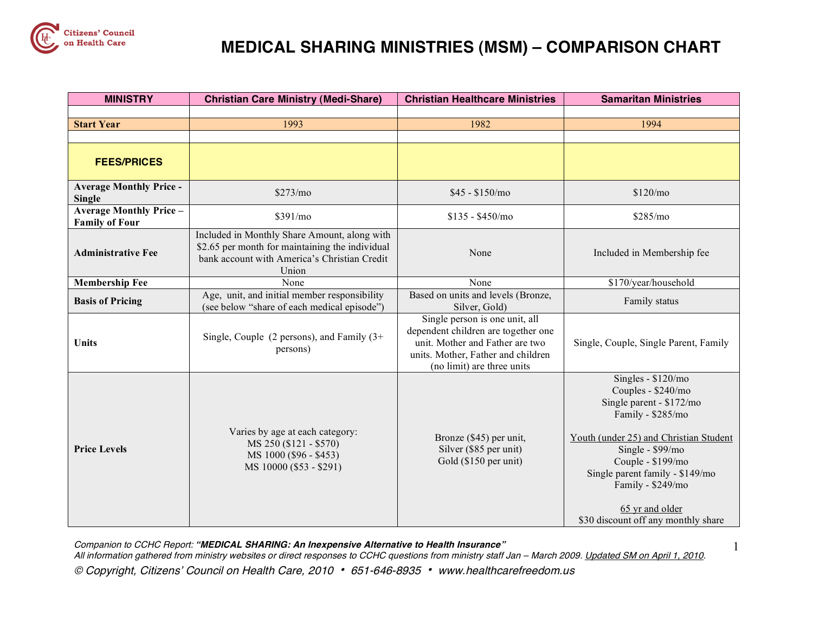

| <b>MINISTRY</b>                                         | <b>Christian Care Ministry (Medi-Share)</b>                                                                                                              | <b>Christian Healthcare Ministries</b>                                                                                                                                       | <b>Samaritan Ministries</b>                                                                                                                                                                                                                                                                    |
|---------------------------------------------------------|----------------------------------------------------------------------------------------------------------------------------------------------------------|------------------------------------------------------------------------------------------------------------------------------------------------------------------------------|------------------------------------------------------------------------------------------------------------------------------------------------------------------------------------------------------------------------------------------------------------------------------------------------|
|                                                         |                                                                                                                                                          |                                                                                                                                                                              |                                                                                                                                                                                                                                                                                                |
| <b>Start Year</b>                                       | 1993                                                                                                                                                     | 1982                                                                                                                                                                         | 1994                                                                                                                                                                                                                                                                                           |
|                                                         |                                                                                                                                                          |                                                                                                                                                                              |                                                                                                                                                                                                                                                                                                |
| <b>FEES/PRICES</b>                                      |                                                                                                                                                          |                                                                                                                                                                              |                                                                                                                                                                                                                                                                                                |
| <b>Average Monthly Price -</b><br><b>Single</b>         | \$273/mo                                                                                                                                                 | $$45 - $150/m0$                                                                                                                                                              | \$120/mo                                                                                                                                                                                                                                                                                       |
| <b>Average Monthly Price -</b><br><b>Family of Four</b> | \$391/mo                                                                                                                                                 | \$135 - \$450/mo                                                                                                                                                             | \$285/mo                                                                                                                                                                                                                                                                                       |
| <b>Administrative Fee</b>                               | Included in Monthly Share Amount, along with<br>\$2.65 per month for maintaining the individual<br>bank account with America's Christian Credit<br>Union | None                                                                                                                                                                         | Included in Membership fee                                                                                                                                                                                                                                                                     |
| <b>Membership Fee</b>                                   | None                                                                                                                                                     | None                                                                                                                                                                         | \$170/year/household                                                                                                                                                                                                                                                                           |
| <b>Basis of Pricing</b>                                 | Age, unit, and initial member responsibility<br>(see below "share of each medical episode")                                                              | Based on units and levels (Bronze,<br>Silver, Gold)                                                                                                                          | Family status                                                                                                                                                                                                                                                                                  |
| <b>Units</b>                                            | Single, Couple (2 persons), and Family $(3+)$<br>persons)                                                                                                | Single person is one unit, all<br>dependent children are together one<br>unit. Mother and Father are two<br>units. Mother, Father and children<br>(no limit) are three units | Single, Couple, Single Parent, Family                                                                                                                                                                                                                                                          |
| <b>Price Levels</b>                                     | Varies by age at each category:<br>MS 250 (\$121 - \$570)<br>MS 1000 (\$96 - \$453)<br>MS 10000 (\$53 - \$291)                                           | Bronze (\$45) per unit,<br>Silver (\$85 per unit)<br>Gold (\$150 per unit)                                                                                                   | Singles - \$120/mo<br>Couples - \$240/mo<br>Single parent - \$172/mo<br>Family - \$285/mo<br>Youth (under 25) and Christian Student<br>Single - \$99/mo<br>Couple - \$199/mo<br>Single parent family - \$149/mo<br>Family - \$249/mo<br>65 yr and older<br>\$30 discount off any monthly share |

Companion to CCHC Report: **"MEDICAL SHARING: An Inexpensive Alternative to Health Insurance"** All information gathered from ministry websites or direct responses to CCHC questions from ministry staff Jan - March 2009. Updated SM on April 1, 2010. © Copyright, Citizens' Council on Health Care, 2010 • 651-646-8935 • www.healthcarefreedom.us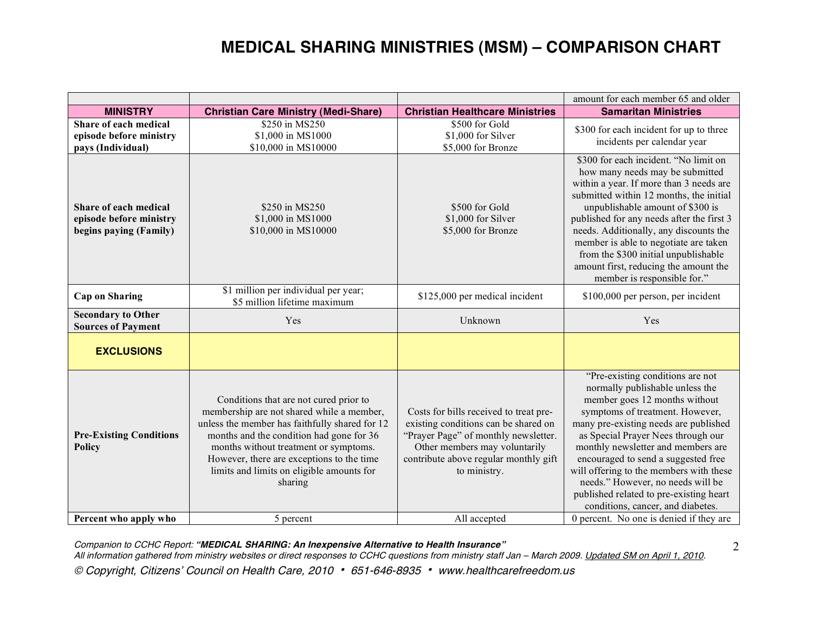|                                                                                   |                                                                                                                                                                                                                                                                                                                                 |                                                                                                                                                                                                                  | amount for each member 65 and older                                                                                                                                                                                                                                                                                                                                                                                                                                 |
|-----------------------------------------------------------------------------------|---------------------------------------------------------------------------------------------------------------------------------------------------------------------------------------------------------------------------------------------------------------------------------------------------------------------------------|------------------------------------------------------------------------------------------------------------------------------------------------------------------------------------------------------------------|---------------------------------------------------------------------------------------------------------------------------------------------------------------------------------------------------------------------------------------------------------------------------------------------------------------------------------------------------------------------------------------------------------------------------------------------------------------------|
| <b>MINISTRY</b>                                                                   | <b>Christian Care Ministry (Medi-Share)</b>                                                                                                                                                                                                                                                                                     | <b>Christian Healthcare Ministries</b>                                                                                                                                                                           | <b>Samaritan Ministries</b>                                                                                                                                                                                                                                                                                                                                                                                                                                         |
| Share of each medical<br>episode before ministry<br>pays (Individual)             | \$250 in MS250<br>\$1,000 in MS1000<br>\$10,000 in MS10000                                                                                                                                                                                                                                                                      | \$500 for Gold<br>\$1,000 for Silver<br>\$5,000 for Bronze                                                                                                                                                       | \$300 for each incident for up to three<br>incidents per calendar year                                                                                                                                                                                                                                                                                                                                                                                              |
| <b>Share of each medical</b><br>episode before ministry<br>begins paying (Family) | \$250 in MS250<br>\$1,000 in MS1000<br>\$10,000 in MS10000                                                                                                                                                                                                                                                                      | \$500 for Gold<br>\$1,000 for Silver<br>\$5,000 for Bronze                                                                                                                                                       | \$300 for each incident. "No limit on<br>how many needs may be submitted<br>within a year. If more than 3 needs are<br>submitted within 12 months, the initial<br>unpublishable amount of \$300 is<br>published for any needs after the first 3<br>needs. Additionally, any discounts the<br>member is able to negotiate are taken<br>from the \$300 initial unpublishable<br>amount first, reducing the amount the<br>member is responsible for."                  |
| <b>Cap on Sharing</b>                                                             | \$1 million per individual per year;<br>\$5 million lifetime maximum                                                                                                                                                                                                                                                            | \$125,000 per medical incident                                                                                                                                                                                   | \$100,000 per person, per incident                                                                                                                                                                                                                                                                                                                                                                                                                                  |
| <b>Secondary to Other</b><br><b>Sources of Payment</b>                            | Yes                                                                                                                                                                                                                                                                                                                             | Unknown                                                                                                                                                                                                          | Yes                                                                                                                                                                                                                                                                                                                                                                                                                                                                 |
| <b>EXCLUSIONS</b>                                                                 |                                                                                                                                                                                                                                                                                                                                 |                                                                                                                                                                                                                  |                                                                                                                                                                                                                                                                                                                                                                                                                                                                     |
| <b>Pre-Existing Conditions</b><br>Policy                                          | Conditions that are not cured prior to<br>membership are not shared while a member,<br>unless the member has faithfully shared for 12<br>months and the condition had gone for 36<br>months without treatment or symptoms.<br>However, there are exceptions to the time<br>limits and limits on eligible amounts for<br>sharing | Costs for bills received to treat pre-<br>existing conditions can be shared on<br>"Prayer Page" of monthly newsletter.<br>Other members may voluntarily<br>contribute above regular monthly gift<br>to ministry. | "Pre-existing conditions are not<br>normally publishable unless the<br>member goes 12 months without<br>symptoms of treatment. However,<br>many pre-existing needs are published<br>as Special Prayer Nees through our<br>monthly newsletter and members are<br>encouraged to send a suggested free<br>will offering to the members with these<br>needs." However, no needs will be<br>published related to pre-existing heart<br>conditions, cancer, and diabetes. |
| Percent who apply who                                                             | 5 percent                                                                                                                                                                                                                                                                                                                       | All accepted                                                                                                                                                                                                     | 0 percent. No one is denied if they are                                                                                                                                                                                                                                                                                                                                                                                                                             |

Companion to CCHC Report: **"MEDICAL SHARING: An Inexpensive Alternative to Health Insurance"** All information gathered from ministry websites or direct responses to CCHC questions from ministry staff Jan – March 2009. Updated SM on April 1, 2010. © Copyright, Citizens' Council on Health Care, 2010 • 651-646-8935 • www.healthcarefreedom.us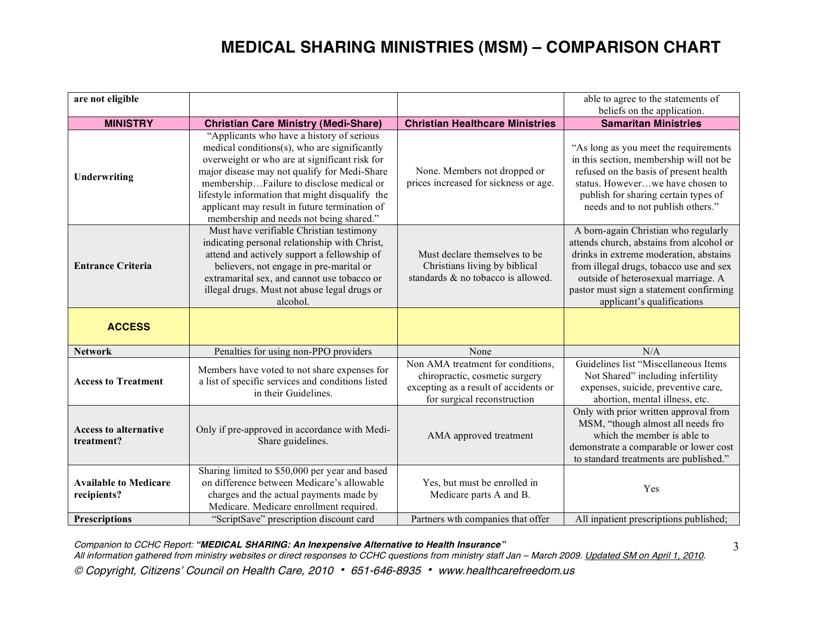| are not eligible                            |                                                                                                                                                                                                                                                                                                                                                                                       |                                                                                                                                             | able to agree to the statements of                                                                                                                                                                                                                                                    |
|---------------------------------------------|---------------------------------------------------------------------------------------------------------------------------------------------------------------------------------------------------------------------------------------------------------------------------------------------------------------------------------------------------------------------------------------|---------------------------------------------------------------------------------------------------------------------------------------------|---------------------------------------------------------------------------------------------------------------------------------------------------------------------------------------------------------------------------------------------------------------------------------------|
|                                             |                                                                                                                                                                                                                                                                                                                                                                                       |                                                                                                                                             | beliefs on the application.                                                                                                                                                                                                                                                           |
| <b>MINISTRY</b>                             | <b>Christian Care Ministry (Medi-Share)</b>                                                                                                                                                                                                                                                                                                                                           | <b>Christian Healthcare Ministries</b>                                                                                                      | <b>Samaritan Ministries</b>                                                                                                                                                                                                                                                           |
| Underwriting                                | "Applicants who have a history of serious<br>medical conditions(s), who are significantly<br>overweight or who are at significant risk for<br>major disease may not qualify for Medi-Share<br>membershipFailure to disclose medical or<br>lifestyle information that might disqualify the<br>applicant may result in future termination of<br>membership and needs not being shared." | None. Members not dropped or<br>prices increased for sickness or age.                                                                       | "As long as you meet the requirements<br>in this section, membership will not be<br>refused on the basis of present health<br>status. However we have chosen to<br>publish for sharing certain types of<br>needs and to not publish others."                                          |
| <b>Entrance Criteria</b>                    | Must have verifiable Christian testimony<br>indicating personal relationship with Christ,<br>attend and actively support a fellowship of<br>believers, not engage in pre-marital or<br>extramarital sex, and cannot use tobacco or<br>illegal drugs. Must not abuse legal drugs or<br>alcohol.                                                                                        | Must declare themselves to be<br>Christians living by biblical<br>standards & no tobacco is allowed.                                        | A born-again Christian who regularly<br>attends church, abstains from alcohol or<br>drinks in extreme moderation, abstains<br>from illegal drugs, tobacco use and sex<br>outside of heterosexual marriage. A<br>pastor must sign a statement confirming<br>applicant's qualifications |
| <b>ACCESS</b>                               |                                                                                                                                                                                                                                                                                                                                                                                       |                                                                                                                                             |                                                                                                                                                                                                                                                                                       |
| <b>Network</b>                              | Penalties for using non-PPO providers                                                                                                                                                                                                                                                                                                                                                 | None                                                                                                                                        | N/A                                                                                                                                                                                                                                                                                   |
| <b>Access to Treatment</b>                  | Members have voted to not share expenses for<br>a list of specific services and conditions listed<br>in their Guidelines.                                                                                                                                                                                                                                                             | Non AMA treatment for conditions,<br>chiropractic, cosmetic surgery<br>excepting as a result of accidents or<br>for surgical reconstruction | Guidelines list "Miscellaneous Items<br>Not Shared" including infertility<br>expenses, suicide, preventive care,<br>abortion, mental illness, etc.                                                                                                                                    |
| <b>Access to alternative</b><br>treatment?  | Only if pre-approved in accordance with Medi-<br>Share guidelines.                                                                                                                                                                                                                                                                                                                    | AMA approved treatment                                                                                                                      | Only with prior written approval from<br>MSM, "though almost all needs fro<br>which the member is able to<br>demonstrate a comparable or lower cost<br>to standard treatments are published."                                                                                         |
| <b>Available to Medicare</b><br>recipients? | Sharing limited to \$50,000 per year and based<br>on difference between Medicare's allowable<br>charges and the actual payments made by<br>Medicare. Medicare enrollment required.                                                                                                                                                                                                    | Yes, but must be enrolled in<br>Medicare parts A and B.                                                                                     | Yes                                                                                                                                                                                                                                                                                   |
| <b>Prescriptions</b>                        | "ScriptSave" prescription discount card                                                                                                                                                                                                                                                                                                                                               | Partners wth companies that offer                                                                                                           | All inpatient prescriptions published;                                                                                                                                                                                                                                                |

Companion to CCHC Report: **"MEDICAL SHARING: An Inexpensive Alternative to Health Insurance"** All information gathered from ministry websites or direct responses to CCHC questions from ministry staff Jan – March 2009. Updated SM on April 1, 2010. © Copyright, Citizens' Council on Health Care, 2010 • 651-646-8935 • www.healthcarefreedom.us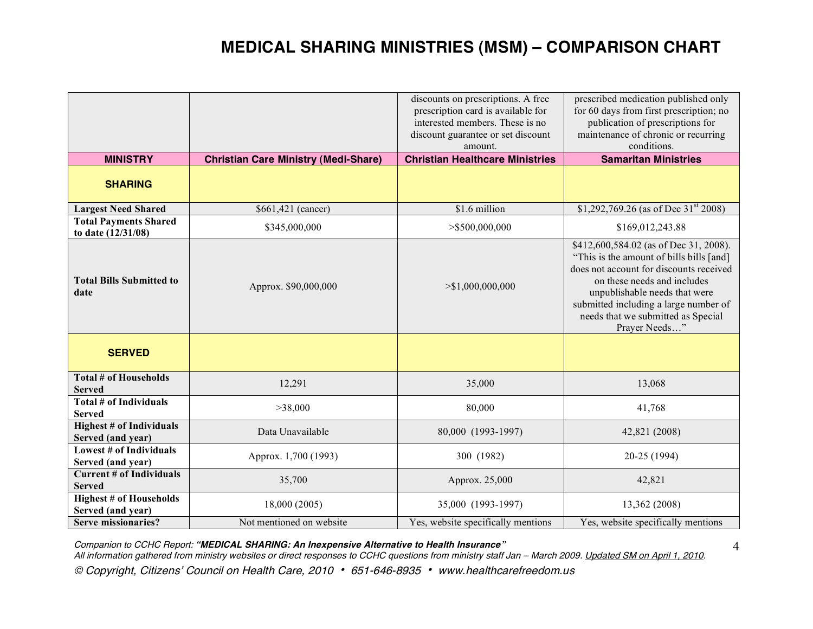|                                                      |                                             | discounts on prescriptions. A free<br>prescription card is available for<br>interested members. These is no<br>discount guarantee or set discount | prescribed medication published only<br>for 60 days from first prescription; no<br>publication of prescriptions for<br>maintenance of chronic or recurring                                                                                                                                    |
|------------------------------------------------------|---------------------------------------------|---------------------------------------------------------------------------------------------------------------------------------------------------|-----------------------------------------------------------------------------------------------------------------------------------------------------------------------------------------------------------------------------------------------------------------------------------------------|
| <b>MINISTRY</b>                                      | <b>Christian Care Ministry (Medi-Share)</b> | amount.<br><b>Christian Healthcare Ministries</b>                                                                                                 | conditions.<br><b>Samaritan Ministries</b>                                                                                                                                                                                                                                                    |
| <b>SHARING</b>                                       |                                             |                                                                                                                                                   |                                                                                                                                                                                                                                                                                               |
| <b>Largest Need Shared</b>                           | \$661,421 (cancer)                          | \$1.6 million                                                                                                                                     | \$1,292,769.26 (as of Dec $31st$ 2008)                                                                                                                                                                                                                                                        |
| <b>Total Payments Shared</b><br>to date (12/31/08)   | \$345,000,000                               | $>\$500,000,000$                                                                                                                                  | \$169,012,243.88                                                                                                                                                                                                                                                                              |
| <b>Total Bills Submitted to</b><br>date              | Approx. \$90,000,000                        | $>\$1,000,000,000$                                                                                                                                | \$412,600,584.02 (as of Dec 31, 2008).<br>"This is the amount of bills bills [and]<br>does not account for discounts received<br>on these needs and includes<br>unpublishable needs that were<br>submitted including a large number of<br>needs that we submitted as Special<br>Prayer Needs" |
| <b>SERVED</b>                                        |                                             |                                                                                                                                                   |                                                                                                                                                                                                                                                                                               |
| <b>Total # of Households</b><br><b>Served</b>        | 12,291                                      | 35,000                                                                                                                                            | 13,068                                                                                                                                                                                                                                                                                        |
| Total # of Individuals<br><b>Served</b>              | >38,000                                     | 80,000                                                                                                                                            | 41,768                                                                                                                                                                                                                                                                                        |
| <b>Highest # of Individuals</b><br>Served (and year) | Data Unavailable                            | 80,000 (1993-1997)                                                                                                                                | 42,821 (2008)                                                                                                                                                                                                                                                                                 |
| Lowest # of Individuals<br>Served (and year)         | Approx. 1,700 (1993)                        | 300 (1982)                                                                                                                                        | 20-25 (1994)                                                                                                                                                                                                                                                                                  |
| <b>Current # of Individuals</b><br><b>Served</b>     | 35,700                                      | Approx. 25,000                                                                                                                                    | 42,821                                                                                                                                                                                                                                                                                        |
| <b>Highest # of Households</b><br>Served (and year)  | 18,000 (2005)                               | 35,000 (1993-1997)                                                                                                                                | 13,362 (2008)                                                                                                                                                                                                                                                                                 |
| Serve missionaries?                                  | Not mentioned on website                    | Yes, website specifically mentions                                                                                                                | Yes, website specifically mentions                                                                                                                                                                                                                                                            |

Companion to CCHC Report: **"MEDICAL SHARING: An Inexpensive Alternative to Health Insurance"** All information gathered from ministry websites or direct responses to CCHC questions from ministry staff Jan – March 2009. Updated SM on April 1, 2010. © Copyright, Citizens' Council on Health Care, 2010 • 651-646-8935 • www.healthcarefreedom.us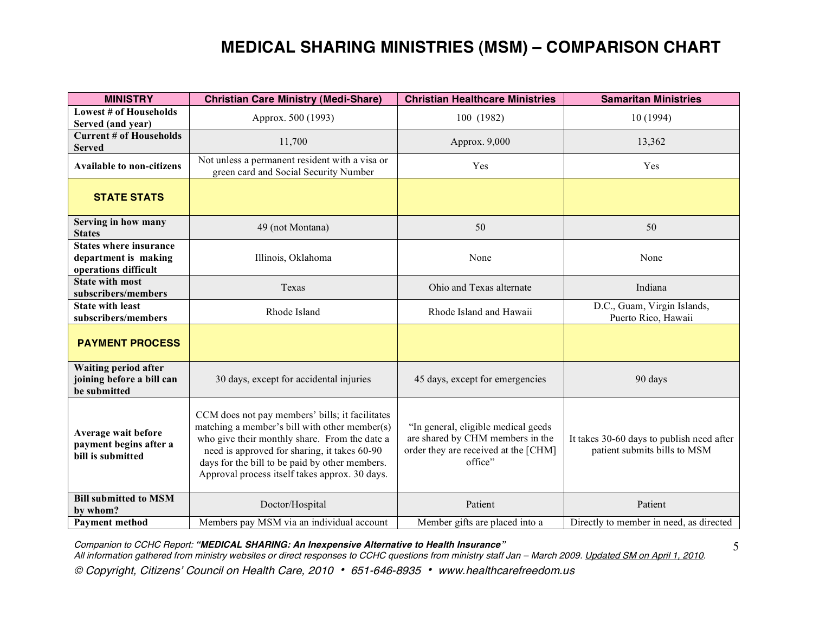| <b>MINISTRY</b>                                                               | <b>Christian Care Ministry (Medi-Share)</b>                                                                                                                                                                                                                                                           | <b>Christian Healthcare Ministries</b>                                                                                     | <b>Samaritan Ministries</b>                                               |
|-------------------------------------------------------------------------------|-------------------------------------------------------------------------------------------------------------------------------------------------------------------------------------------------------------------------------------------------------------------------------------------------------|----------------------------------------------------------------------------------------------------------------------------|---------------------------------------------------------------------------|
| <b>Lowest # of Households</b><br>Served (and year)                            | Approx. 500 (1993)                                                                                                                                                                                                                                                                                    | 100 (1982)                                                                                                                 | 10(1994)                                                                  |
| <b>Current # of Households</b><br><b>Served</b>                               | 11,700                                                                                                                                                                                                                                                                                                | Approx. 9,000                                                                                                              | 13,362                                                                    |
| <b>Available to non-citizens</b>                                              | Not unless a permanent resident with a visa or<br>green card and Social Security Number                                                                                                                                                                                                               | Yes                                                                                                                        | Yes                                                                       |
| <b>STATE STATS</b>                                                            |                                                                                                                                                                                                                                                                                                       |                                                                                                                            |                                                                           |
| Serving in how many<br><b>States</b>                                          | 49 (not Montana)                                                                                                                                                                                                                                                                                      | 50                                                                                                                         | 50                                                                        |
| <b>States where insurance</b><br>department is making<br>operations difficult | Illinois, Oklahoma                                                                                                                                                                                                                                                                                    | None                                                                                                                       | None                                                                      |
| <b>State with most</b><br>subscribers/members                                 | Texas                                                                                                                                                                                                                                                                                                 | Ohio and Texas alternate                                                                                                   | Indiana                                                                   |
| <b>State with least</b><br>subscribers/members                                | Rhode Island                                                                                                                                                                                                                                                                                          | Rhode Island and Hawaii                                                                                                    | D.C., Guam, Virgin Islands,<br>Puerto Rico, Hawaii                        |
| <b>PAYMENT PROCESS</b>                                                        |                                                                                                                                                                                                                                                                                                       |                                                                                                                            |                                                                           |
| <b>Waiting period after</b><br>joining before a bill can<br>be submitted      | 30 days, except for accidental injuries                                                                                                                                                                                                                                                               | 45 days, except for emergencies                                                                                            | 90 days                                                                   |
| Average wait before<br>payment begins after a<br>bill is submitted            | CCM does not pay members' bills; it facilitates<br>matching a member's bill with other member(s)<br>who give their monthly share. From the date a<br>need is approved for sharing, it takes 60-90<br>days for the bill to be paid by other members.<br>Approval process itself takes approx. 30 days. | "In general, eligible medical geeds<br>are shared by CHM members in the<br>order they are received at the [CHM]<br>office" | It takes 30-60 days to publish need after<br>patient submits bills to MSM |
| <b>Bill submitted to MSM</b><br>by whom?                                      | Doctor/Hospital                                                                                                                                                                                                                                                                                       | Patient                                                                                                                    | Patient                                                                   |
| <b>Payment method</b>                                                         | Members pay MSM via an individual account                                                                                                                                                                                                                                                             | Member gifts are placed into a                                                                                             | Directly to member in need, as directed                                   |

Companion to CCHC Report: **"MEDICAL SHARING: An Inexpensive Alternative to Health Insurance"** All information gathered from ministry websites or direct responses to CCHC questions from ministry staff Jan - March 2009. Updated SM on April 1, 2010. © Copyright, Citizens' Council on Health Care, 2010 • 651-646-8935 • www.healthcarefreedom.us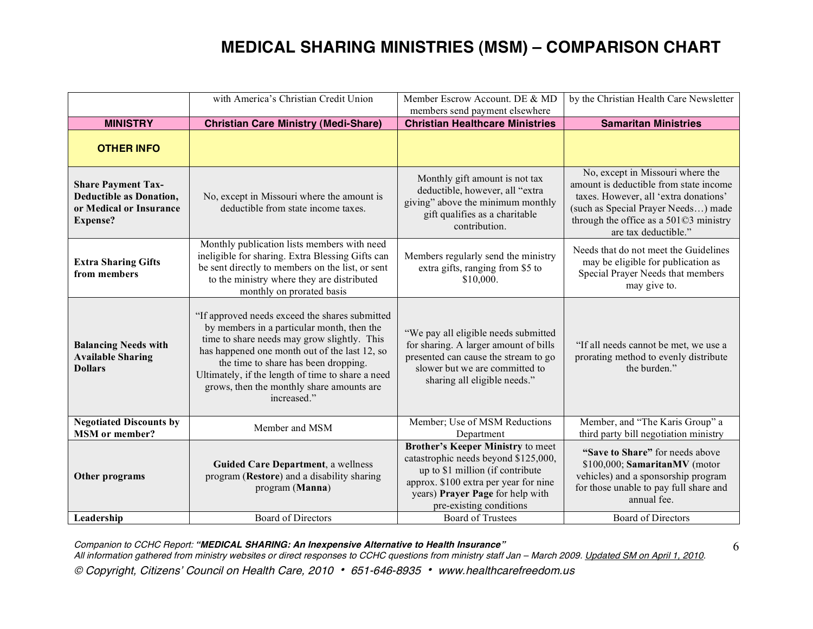|                                                                                                           | with America's Christian Credit Union                                                                                                                                                                                                                                                                                                                 | Member Escrow Account. DE & MD<br>members send payment elsewhere                                                                                                                                                      | by the Christian Health Care Newsletter                                                                                                                                                                                      |
|-----------------------------------------------------------------------------------------------------------|-------------------------------------------------------------------------------------------------------------------------------------------------------------------------------------------------------------------------------------------------------------------------------------------------------------------------------------------------------|-----------------------------------------------------------------------------------------------------------------------------------------------------------------------------------------------------------------------|------------------------------------------------------------------------------------------------------------------------------------------------------------------------------------------------------------------------------|
| <b>MINISTRY</b>                                                                                           | <b>Christian Care Ministry (Medi-Share)</b>                                                                                                                                                                                                                                                                                                           | <b>Christian Healthcare Ministries</b>                                                                                                                                                                                | <b>Samaritan Ministries</b>                                                                                                                                                                                                  |
| <b>OTHER INFO</b>                                                                                         |                                                                                                                                                                                                                                                                                                                                                       |                                                                                                                                                                                                                       |                                                                                                                                                                                                                              |
| <b>Share Payment Tax-</b><br><b>Deductible as Donation,</b><br>or Medical or Insurance<br><b>Expense?</b> | No, except in Missouri where the amount is<br>deductible from state income taxes.                                                                                                                                                                                                                                                                     | Monthly gift amount is not tax<br>deductible, however, all "extra<br>giving" above the minimum monthly<br>gift qualifies as a charitable<br>contribution.                                                             | No, except in Missouri where the<br>amount is deductible from state income<br>taxes. However, all 'extra donations'<br>(such as Special Prayer Needs) made<br>through the office as a 501©3 ministry<br>are tax deductible." |
| <b>Extra Sharing Gifts</b><br>from members                                                                | Monthly publication lists members with need<br>ineligible for sharing. Extra Blessing Gifts can<br>be sent directly to members on the list, or sent<br>to the ministry where they are distributed<br>monthly on prorated basis                                                                                                                        | Members regularly send the ministry<br>extra gifts, ranging from \$5 to<br>\$10,000.                                                                                                                                  | Needs that do not meet the Guidelines<br>may be eligible for publication as<br>Special Prayer Needs that members<br>may give to.                                                                                             |
| <b>Balancing Needs with</b><br><b>Available Sharing</b><br><b>Dollars</b>                                 | "If approved needs exceed the shares submitted<br>by members in a particular month, then the<br>time to share needs may grow slightly. This<br>has happened one month out of the last 12, so<br>the time to share has been dropping.<br>Ultimately, if the length of time to share a need<br>grows, then the monthly share amounts are<br>increased." | "We pay all eligible needs submitted<br>for sharing. A larger amount of bills<br>presented can cause the stream to go<br>slower but we are committed to<br>sharing all eligible needs."                               | "If all needs cannot be met, we use a<br>prorating method to evenly distribute<br>the burden."                                                                                                                               |
| <b>Negotiated Discounts by</b><br><b>MSM</b> or member?                                                   | Member and MSM                                                                                                                                                                                                                                                                                                                                        | Member; Use of MSM Reductions<br>Department                                                                                                                                                                           | Member, and "The Karis Group" a<br>third party bill negotiation ministry                                                                                                                                                     |
| Other programs                                                                                            | <b>Guided Care Department</b> , a wellness<br>program (Restore) and a disability sharing<br>program (Manna)                                                                                                                                                                                                                                           | Brother's Keeper Ministry to meet<br>catastrophic needs beyond \$125,000,<br>up to \$1 million (if contribute<br>approx. \$100 extra per year for nine<br>years) Prayer Page for help with<br>pre-existing conditions | "Save to Share" for needs above<br>\$100,000; SamaritanMV (motor<br>vehicles) and a sponsorship program<br>for those unable to pay full share and<br>annual fee.                                                             |
| Leadership                                                                                                | <b>Board of Directors</b>                                                                                                                                                                                                                                                                                                                             | <b>Board of Trustees</b>                                                                                                                                                                                              | <b>Board of Directors</b>                                                                                                                                                                                                    |

Companion to CCHC Report: **"MEDICAL SHARING: An Inexpensive Alternative to Health Insurance"** All information gathered from ministry websites or direct responses to CCHC questions from ministry staff Jan – March 2009. Updated SM on April 1, 2010. © Copyright, Citizens' Council on Health Care, 2010 • 651-646-8935 • www.healthcarefreedom.us